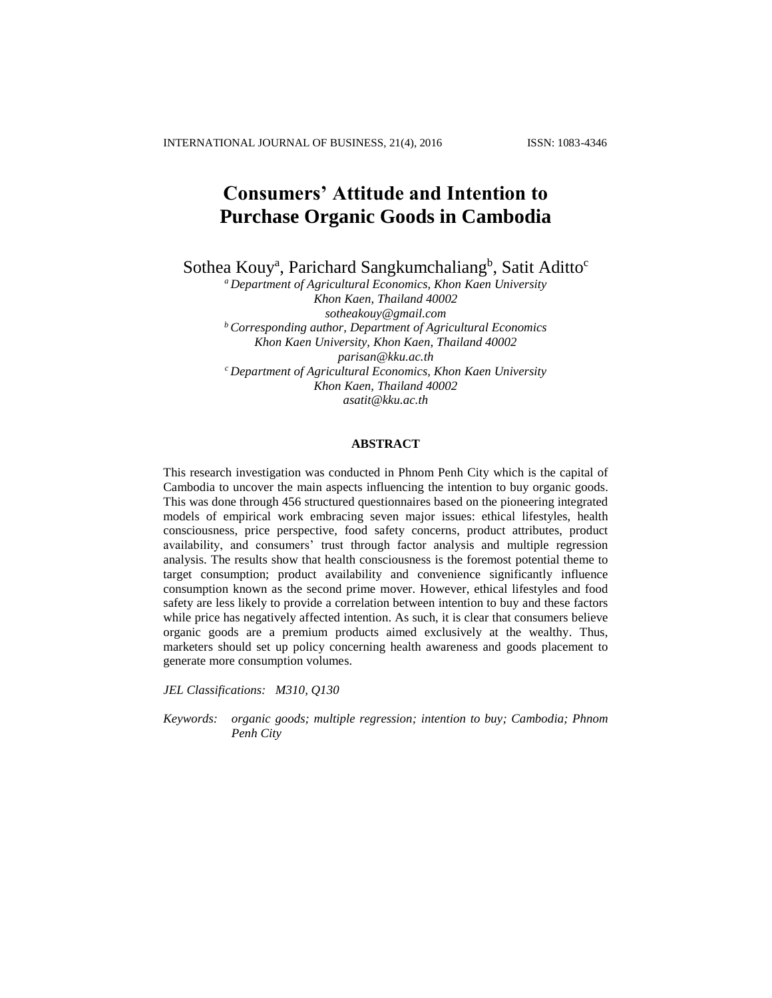INTERNATIONAL JOURNAL OF BUSINESS, 21(4), 2016 ISSN: 1083-4346

# **Consumers' Attitude and Intention to Purchase Organic Goods in Cambodia**

Sothea Kouy<sup>a</sup>, Parichard Sangkumchaliang<sup>b</sup>, Satit Aditto<sup>c</sup>

*<sup>a</sup> Department of Agricultural Economics, Khon Kaen University Khon Kaen, Thailand 40002 [sotheakouy@gmail.com](mailto:sotheakouy@gmail.com) <sup>b</sup> Corresponding author, Department of Agricultural Economics Khon Kaen University, Khon Kaen, Thailand 40002 [parisan@kku.ac.th](mailto:parisan@kku.ac.th) <sup>c</sup> Department of Agricultural Economics, Khon Kaen University Khon Kaen, Thailand 40002 [asatit@kku.ac.th](mailto:asatit@kku.ac.th)*

# **ABSTRACT**

This research investigation was conducted in Phnom Penh City which is the capital of Cambodia to uncover the main aspects influencing the intention to buy organic goods. This was done through 456 structured questionnaires based on the pioneering integrated models of empirical work embracing seven major issues: ethical lifestyles, health consciousness, price perspective, food safety concerns, product attributes, product availability, and consumers' trust through factor analysis and multiple regression analysis. The results show that health consciousness is the foremost potential theme to target consumption; product availability and convenience significantly influence consumption known as the second prime mover. However, ethical lifestyles and food safety are less likely to provide a correlation between intention to buy and these factors while price has negatively affected intention. As such, it is clear that consumers believe organic goods are a premium products aimed exclusively at the wealthy. Thus, marketers should set up policy concerning health awareness and goods placement to generate more consumption volumes.

*JEL Classifications: M310, Q130*

*Keywords: organic goods; multiple regression; intention to buy; Cambodia; Phnom Penh City*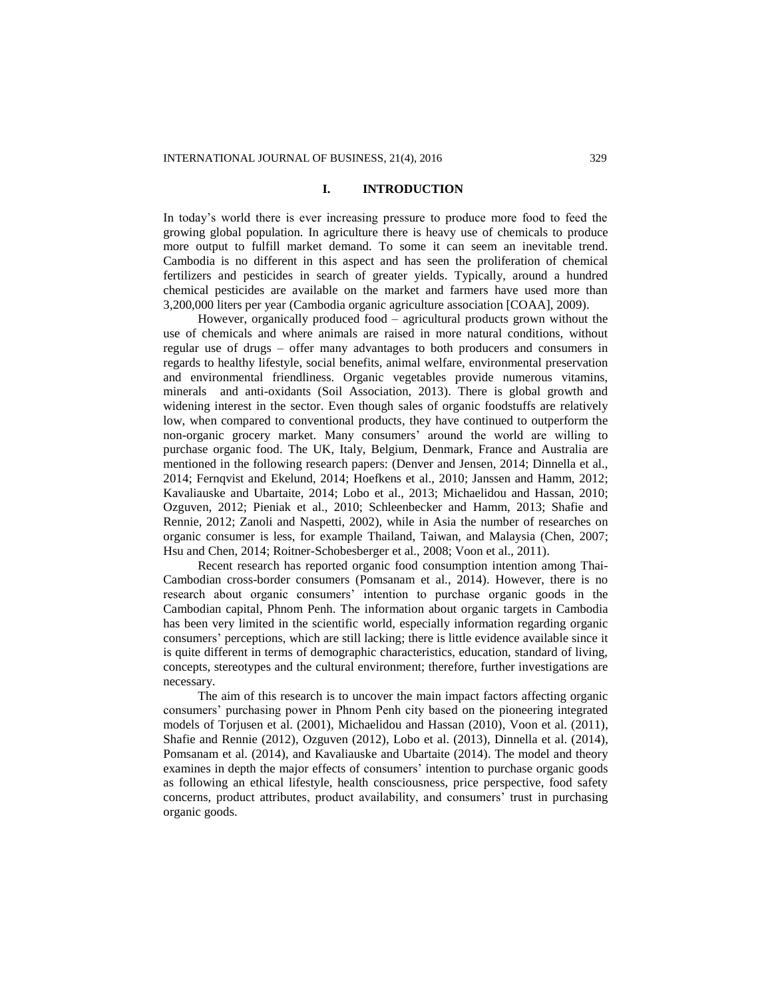# **I. INTRODUCTION**

In today's world there is ever increasing pressure to produce more food to feed the growing global population. In agriculture there is heavy use of chemicals to produce more output to fulfill market demand. To some it can seem an inevitable trend. Cambodia is no different in this aspect and has seen the proliferation of chemical fertilizers and pesticides in search of greater yields. Typically, around a hundred chemical pesticides are available on the market and farmers have used more than 3,200,000 liters per year (Cambodia organic agriculture association [COAA], 2009).

However, organically produced food – agricultural products grown without the use of chemicals and where animals are raised in more natural conditions, without regular use of drugs – offer many advantages to both producers and consumers in regards to healthy lifestyle, social benefits, animal welfare, environmental preservation and environmental friendliness. Organic vegetables provide numerous vitamins, minerals and anti-oxidants (Soil Association, 2013). There is global growth and widening interest in the sector. Even though sales of organic foodstuffs are relatively low, when compared to conventional products, they have continued to outperform the non-organic grocery market. Many consumers' around the world are willing to purchase organic food. The UK, Italy, Belgium, Denmark, France and Australia are mentioned in the following research papers: (Denver and Jensen, 2014; Dinnella et al., 2014; Fernqvist and Ekelund, 2014; Hoefkens et al., 2010; Janssen and Hamm, 2012; Kavaliauske and Ubartaite, 2014; Lobo et al., 2013; Michaelidou and Hassan, 2010; Ozguven, 2012; Pieniak et al., 2010; Schleenbecker and Hamm, 2013; Shafie and Rennie, 2012; Zanoli and Naspetti, 2002), while in Asia the number of researches on organic consumer is less, for example Thailand, Taiwan, and Malaysia (Chen, 2007; Hsu and Chen, 2014; Roitner-Schobesberger et al., 2008; Voon et al., 2011).

Recent research has reported organic food consumption intention among Thai-Cambodian cross-border consumers (Pomsanam et al., 2014). However, there is no research about organic consumers' intention to purchase organic goods in the Cambodian capital, Phnom Penh. The information about organic targets in Cambodia has been very limited in the scientific world, especially information regarding organic consumers' perceptions, which are still lacking; there is little evidence available since it is quite different in terms of demographic characteristics, education, standard of living, concepts, stereotypes and the cultural environment; therefore, further investigations are necessary.

The aim of this research is to uncover the main impact factors affecting organic consumers' purchasing power in Phnom Penh city based on the pioneering integrated models of Torjusen et al. (2001), Michaelidou and Hassan (2010), Voon et al. (2011), Shafie and Rennie (2012), Ozguven (2012), Lobo et al. (2013), Dinnella et al. (2014), Pomsanam et al. (2014), and Kavaliauske and Ubartaite (2014). The model and theory examines in depth the major effects of consumers' intention to purchase organic goods as following an ethical lifestyle, health consciousness, price perspective, food safety concerns, product attributes, product availability, and consumers' trust in purchasing organic goods.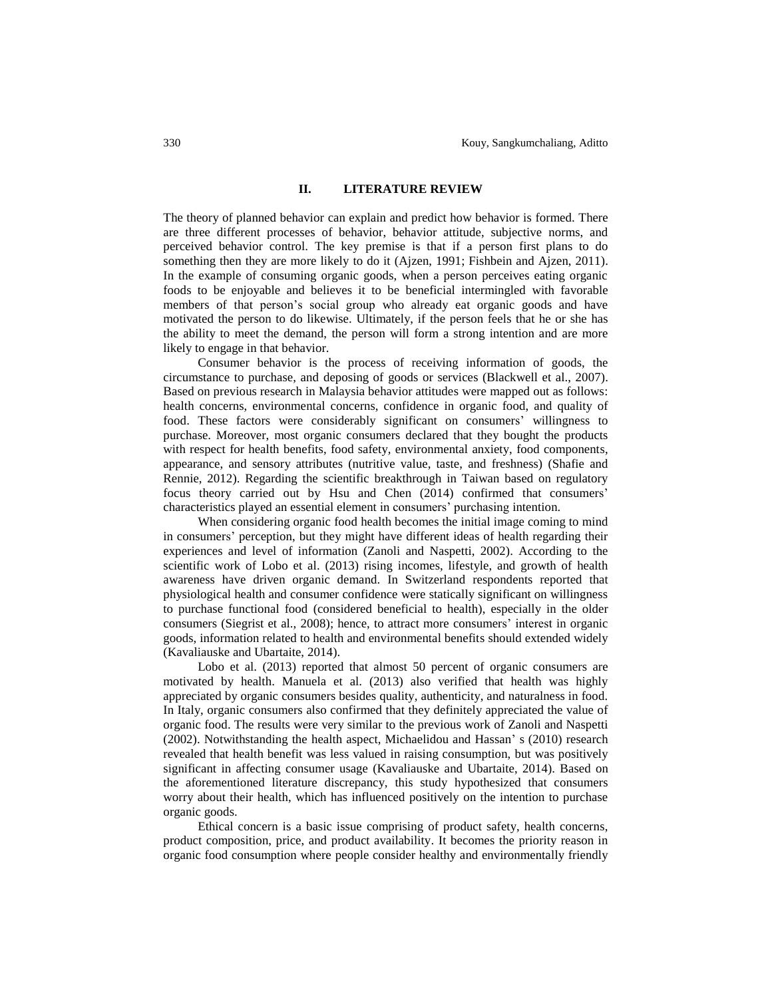# **II. LITERATURE REVIEW**

The theory of planned behavior can explain and predict how behavior is formed. There are three different processes of behavior, behavior attitude, subjective norms, and perceived behavior control. The key premise is that if a person first plans to do something then they are more likely to do it (Ajzen, 1991; Fishbein and Ajzen, 2011). In the example of consuming organic goods, when a person perceives eating organic foods to be enjoyable and believes it to be beneficial intermingled with favorable members of that person's social group who already eat organic goods and have motivated the person to do likewise. Ultimately, if the person feels that he or she has the ability to meet the demand, the person will form a strong intention and are more likely to engage in that behavior.

Consumer behavior is the process of receiving information of goods, the circumstance to purchase, and deposing of goods or services (Blackwell et al., 2007). Based on previous research in Malaysia behavior attitudes were mapped out as follows: health concerns, environmental concerns, confidence in organic food, and quality of food. These factors were considerably significant on consumers' willingness to purchase. Moreover, most organic consumers declared that they bought the products with respect for health benefits, food safety, environmental anxiety, food components, appearance, and sensory attributes (nutritive value, taste, and freshness) (Shafie and Rennie, 2012). Regarding the scientific breakthrough in Taiwan based on regulatory focus theory carried out by Hsu and Chen (2014) confirmed that consumers' characteristics played an essential element in consumers' purchasing intention.

When considering organic food health becomes the initial image coming to mind in consumers' perception, but they might have different ideas of health regarding their experiences and level of information (Zanoli and Naspetti, 2002). According to the scientific work of Lobo et al. (2013) rising incomes, lifestyle, and growth of health awareness have driven organic demand. In Switzerland respondents reported that physiological health and consumer confidence were statically significant on willingness to purchase functional food (considered beneficial to health), especially in the older consumers (Siegrist et al., 2008); hence, to attract more consumers' interest in organic goods, information related to health and environmental benefits should extended widely (Kavaliauske and Ubartaite, 2014).

Lobo et al. (2013) reported that almost 50 percent of organic consumers are motivated by health. Manuela et al. (2013) also verified that health was highly appreciated by organic consumers besides quality, authenticity, and naturalness in food. In Italy, organic consumers also confirmed that they definitely appreciated the value of organic food. The results were very similar to the previous work of Zanoli and Naspetti (2002). Notwithstanding the health aspect, Michaelidou and Hassan' s (2010) research revealed that health benefit was less valued in raising consumption, but was positively significant in affecting consumer usage (Kavaliauske and Ubartaite, 2014). Based on the aforementioned literature discrepancy, this study hypothesized that consumers worry about their health, which has influenced positively on the intention to purchase organic goods.

Ethical concern is a basic issue comprising of product safety, health concerns, product composition, price, and product availability. It becomes the priority reason in organic food consumption where people consider healthy and environmentally friendly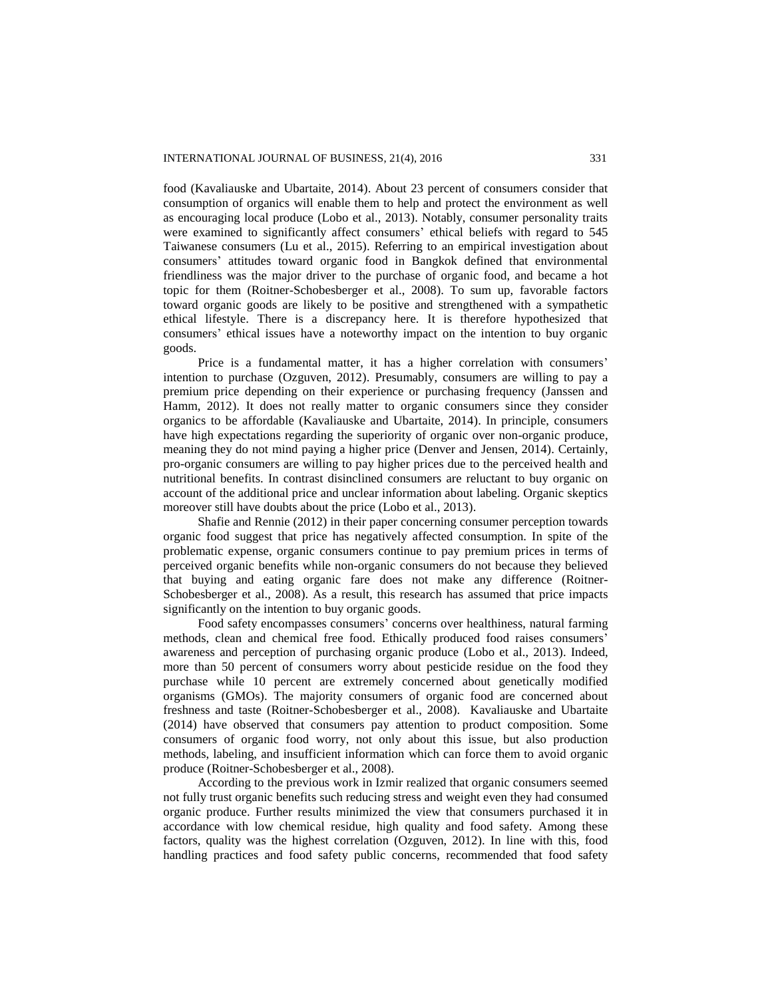food (Kavaliauske and Ubartaite, 2014). About 23 percent of consumers consider that consumption of organics will enable them to help and protect the environment as well as encouraging local produce (Lobo et al., 2013). Notably, consumer personality traits were examined to significantly affect consumers' ethical beliefs with regard to 545 Taiwanese consumers (Lu et al., 2015). Referring to an empirical investigation about consumers' attitudes toward organic food in Bangkok defined that environmental friendliness was the major driver to the purchase of organic food, and became a hot topic for them (Roitner-Schobesberger et al., 2008). To sum up, favorable factors toward organic goods are likely to be positive and strengthened with a sympathetic ethical lifestyle. There is a discrepancy here. It is therefore hypothesized that consumers' ethical issues have a noteworthy impact on the intention to buy organic goods.

Price is a fundamental matter, it has a higher correlation with consumers' intention to purchase (Ozguven, 2012). Presumably, consumers are willing to pay a premium price depending on their experience or purchasing frequency (Janssen and Hamm, 2012). It does not really matter to organic consumers since they consider organics to be affordable (Kavaliauske and Ubartaite, 2014). In principle, consumers have high expectations regarding the superiority of organic over non-organic produce, meaning they do not mind paying a higher price (Denver and Jensen, 2014). Certainly, pro-organic consumers are willing to pay higher prices due to the perceived health and nutritional benefits. In contrast disinclined consumers are reluctant to buy organic on account of the additional price and unclear information about labeling. Organic skeptics moreover still have doubts about the price (Lobo et al., 2013).

Shafie and Rennie (2012) in their paper concerning consumer perception towards organic food suggest that price has negatively affected consumption. In spite of the problematic expense, organic consumers continue to pay premium prices in terms of perceived organic benefits while non-organic consumers do not because they believed that buying and eating organic fare does not make any difference (Roitner-Schobesberger et al., 2008). As a result, this research has assumed that price impacts significantly on the intention to buy organic goods.

Food safety encompasses consumers' concerns over healthiness, natural farming methods, clean and chemical free food. Ethically produced food raises consumers' awareness and perception of purchasing organic produce (Lobo et al., 2013). Indeed, more than 50 percent of consumers worry about pesticide residue on the food they purchase while 10 percent are extremely concerned about genetically modified organisms (GMOs). The majority consumers of organic food are concerned about freshness and taste (Roitner-Schobesberger et al., 2008). Kavaliauske and Ubartaite (2014) have observed that consumers pay attention to product composition. Some consumers of organic food worry, not only about this issue, but also production methods, labeling, and insufficient information which can force them to avoid organic produce (Roitner-Schobesberger et al., 2008).

According to the previous work in Izmir realized that organic consumers seemed not fully trust organic benefits such reducing stress and weight even they had consumed organic produce. Further results minimized the view that consumers purchased it in accordance with low chemical residue, high quality and food safety. Among these factors, quality was the highest correlation (Ozguven, 2012). In line with this, food handling practices and food safety public concerns, recommended that food safety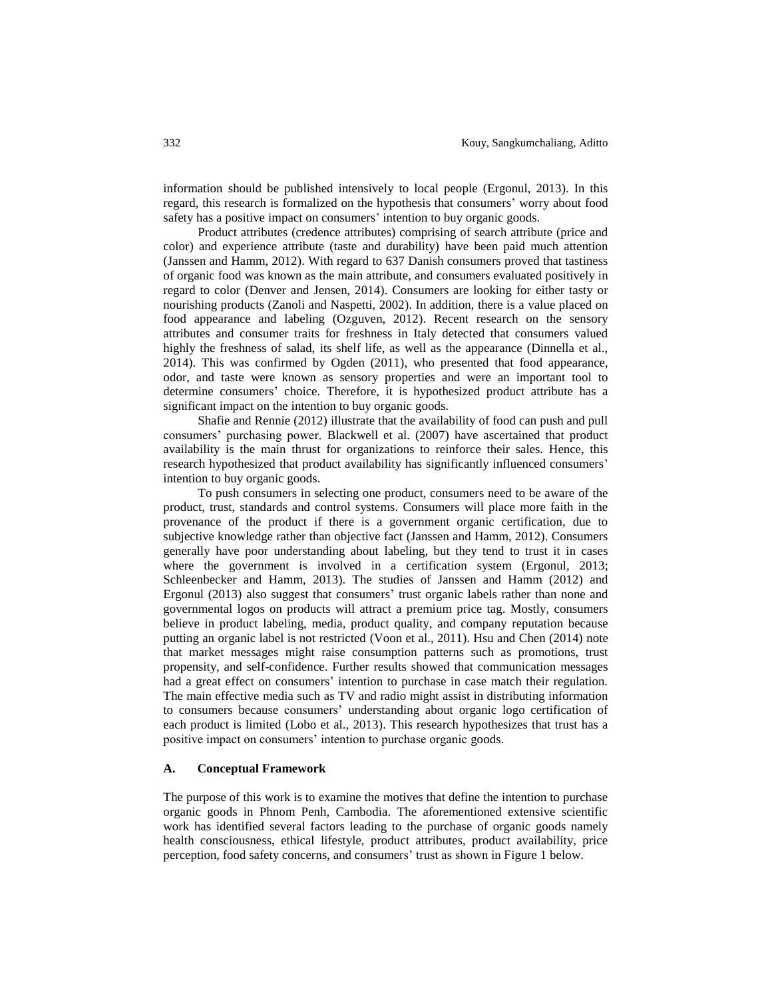information should be published intensively to local people (Ergonul, 2013). In this regard, this research is formalized on the hypothesis that consumers' worry about food safety has a positive impact on consumers' intention to buy organic goods.

Product attributes (credence attributes) comprising of search attribute (price and color) and experience attribute (taste and durability) have been paid much attention (Janssen and Hamm, 2012). With regard to 637 Danish consumers proved that tastiness of organic food was known as the main attribute, and consumers evaluated positively in regard to color (Denver and Jensen, 2014). Consumers are looking for either tasty or nourishing products (Zanoli and Naspetti, 2002). In addition, there is a value placed on food appearance and labeling (Ozguven, 2012). Recent research on the sensory attributes and consumer traits for freshness in Italy detected that consumers valued highly the freshness of salad, its shelf life, as well as the appearance (Dinnella et al., 2014). This was confirmed by Ogden (2011), who presented that food appearance, odor, and taste were known as sensory properties and were an important tool to determine consumers' choice. Therefore, it is hypothesized product attribute has a significant impact on the intention to buy organic goods.

Shafie and Rennie (2012) illustrate that the availability of food can push and pull consumers' purchasing power. Blackwell et al. (2007) have ascertained that product availability is the main thrust for organizations to reinforce their sales. Hence, this research hypothesized that product availability has significantly influenced consumers' intention to buy organic goods.

To push consumers in selecting one product, consumers need to be aware of the product, trust, standards and control systems. Consumers will place more faith in the provenance of the product if there is a government organic certification, due to subjective knowledge rather than objective fact (Janssen and Hamm, 2012). Consumers generally have poor understanding about labeling, but they tend to trust it in cases where the government is involved in a certification system (Ergonul, 2013; Schleenbecker and Hamm, 2013). The studies of Janssen and Hamm (2012) and Ergonul (2013) also suggest that consumers' trust organic labels rather than none and governmental logos on products will attract a premium price tag. Mostly, consumers believe in product labeling, media, product quality, and company reputation because putting an organic label is not restricted (Voon et al., 2011). Hsu and Chen (2014) note that market messages might raise consumption patterns such as promotions, trust propensity, and self-confidence. Further results showed that communication messages had a great effect on consumers' intention to purchase in case match their regulation. The main effective media such as TV and radio might assist in distributing information to consumers because consumers' understanding about organic logo certification of each product is limited (Lobo et al., 2013). This research hypothesizes that trust has a positive impact on consumers' intention to purchase organic goods.

## **A. Conceptual Framework**

The purpose of this work is to examine the motives that define the intention to purchase organic goods in Phnom Penh, Cambodia. The aforementioned extensive scientific work has identified several factors leading to the purchase of organic goods namely health consciousness, ethical lifestyle, product attributes, product availability, price perception, food safety concerns, and consumers' trust as shown in Figure 1 below.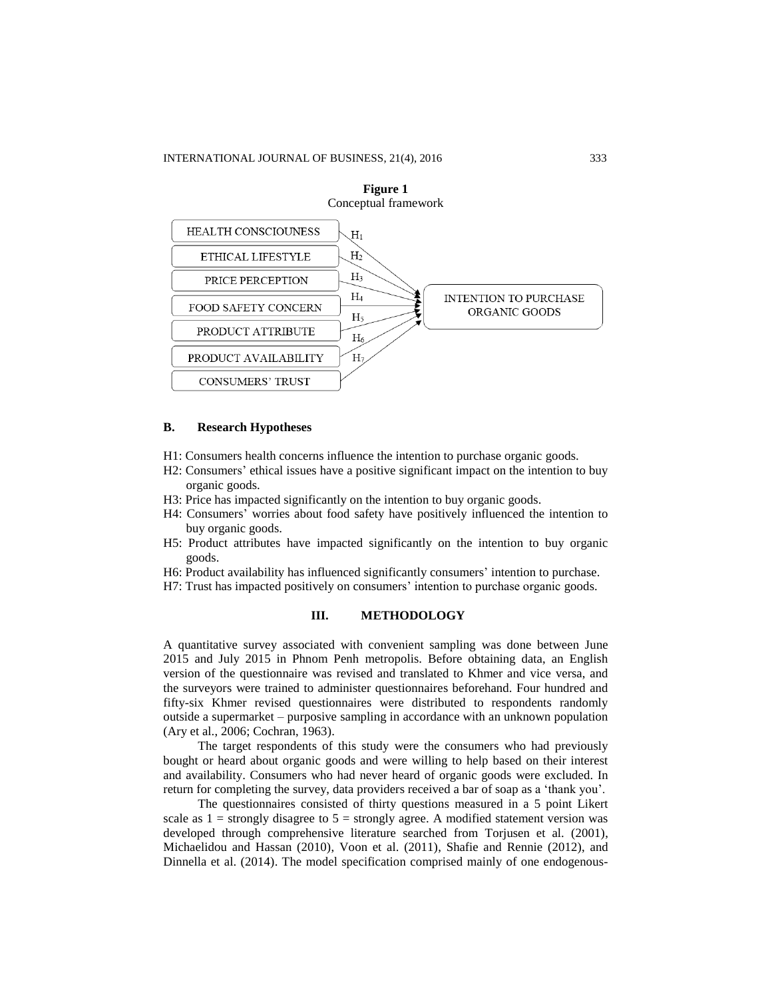

**Figure 1** Conceptual framework

### **B. Research Hypotheses**

- H1: Consumers health concerns influence the intention to purchase organic goods.
- H2: Consumers' ethical issues have a positive significant impact on the intention to buy organic goods.
- H3: Price has impacted significantly on the intention to buy organic goods.
- H4: Consumers' worries about food safety have positively influenced the intention to buy organic goods.
- H5: Product attributes have impacted significantly on the intention to buy organic goods.
- H6: Product availability has influenced significantly consumers' intention to purchase.
- H7: Trust has impacted positively on consumers' intention to purchase organic goods.

# **III. METHODOLOGY**

A quantitative survey associated with convenient sampling was done between June 2015 and July 2015 in Phnom Penh metropolis. Before obtaining data, an English version of the questionnaire was revised and translated to Khmer and vice versa, and the surveyors were trained to administer questionnaires beforehand. Four hundred and fifty-six Khmer revised questionnaires were distributed to respondents randomly outside a supermarket – purposive sampling in accordance with an unknown population (Ary et al., 2006; Cochran, 1963).

The target respondents of this study were the consumers who had previously bought or heard about organic goods and were willing to help based on their interest and availability. Consumers who had never heard of organic goods were excluded. In return for completing the survey, data providers received a bar of soap as a 'thank you'.

The questionnaires consisted of thirty questions measured in a 5 point Likert scale as  $1 =$  strongly disagree to  $5 =$  strongly agree. A modified statement version was developed through comprehensive literature searched from Torjusen et al. (2001), Michaelidou and Hassan (2010), Voon et al. (2011), Shafie and Rennie (2012), and Dinnella et al. (2014). The model specification comprised mainly of one endogenous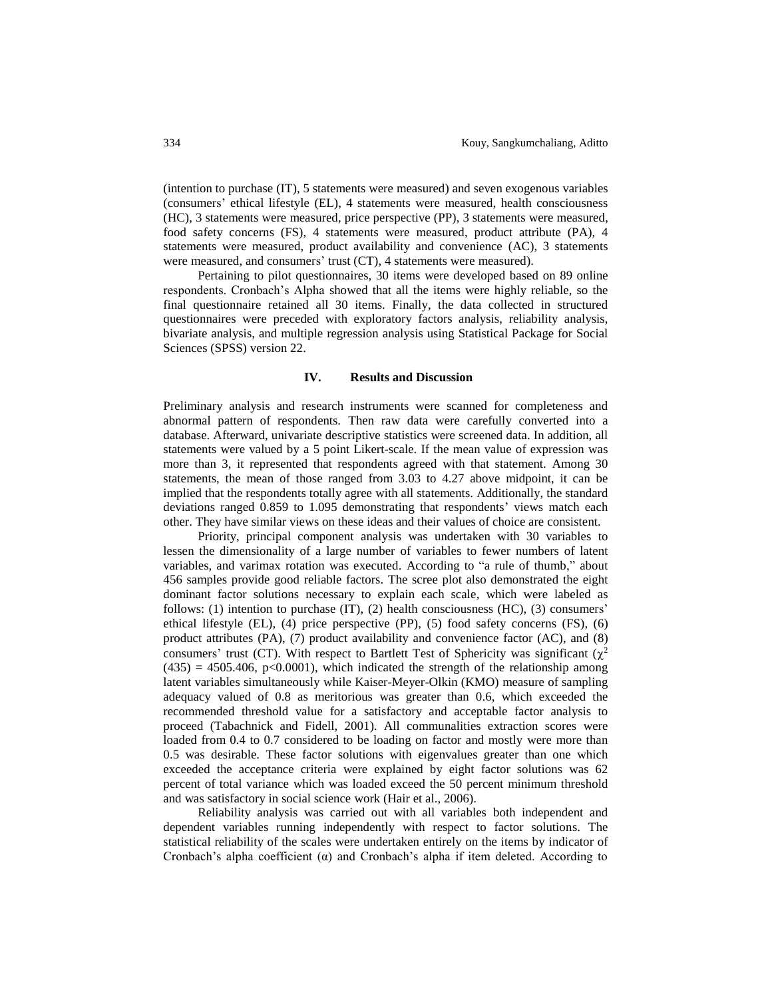(intention to purchase (IT), 5 statements were measured) and seven exogenous variables (consumers' ethical lifestyle (EL), 4 statements were measured, health consciousness (HC), 3 statements were measured, price perspective (PP), 3 statements were measured, food safety concerns (FS), 4 statements were measured, product attribute (PA), 4 statements were measured, product availability and convenience (AC), 3 statements were measured, and consumers' trust (CT), 4 statements were measured).

Pertaining to pilot questionnaires, 30 items were developed based on 89 online respondents. Cronbach's Alpha showed that all the items were highly reliable, so the final questionnaire retained all 30 items. Finally, the data collected in structured questionnaires were preceded with exploratory factors analysis, reliability analysis, bivariate analysis, and multiple regression analysis using Statistical Package for Social Sciences (SPSS) version 22.

## **IV. Results and Discussion**

Preliminary analysis and research instruments were scanned for completeness and abnormal pattern of respondents. Then raw data were carefully converted into a database. Afterward, univariate descriptive statistics were screened data. In addition, all statements were valued by a 5 point Likert-scale. If the mean value of expression was more than 3, it represented that respondents agreed with that statement. Among 30 statements, the mean of those ranged from 3.03 to 4.27 above midpoint, it can be implied that the respondents totally agree with all statements. Additionally, the standard deviations ranged 0.859 to 1.095 demonstrating that respondents' views match each other. They have similar views on these ideas and their values of choice are consistent.

Priority, principal component analysis was undertaken with 30 variables to lessen the dimensionality of a large number of variables to fewer numbers of latent variables, and varimax rotation was executed. According to "a rule of thumb," about 456 samples provide good reliable factors. The scree plot also demonstrated the eight dominant factor solutions necessary to explain each scale, which were labeled as follows: (1) intention to purchase (IT), (2) health consciousness (HC), (3) consumers' ethical lifestyle (EL), (4) price perspective (PP), (5) food safety concerns (FS), (6) product attributes (PA), (7) product availability and convenience factor (AC), and (8) consumers' trust (CT). With respect to Bartlett Test of Sphericity was significant ( $\chi^2$ )  $(435) = 4505.406$ , p $<0.0001$ , which indicated the strength of the relationship among latent variables simultaneously while Kaiser-Meyer-Olkin (KMO) measure of sampling adequacy valued of 0.8 as meritorious was greater than 0.6, which exceeded the recommended threshold value for a satisfactory and acceptable factor analysis to proceed (Tabachnick and Fidell, 2001). All communalities extraction scores were loaded from 0.4 to 0.7 considered to be loading on factor and mostly were more than 0.5 was desirable. These factor solutions with eigenvalues greater than one which exceeded the acceptance criteria were explained by eight factor solutions was 62 percent of total variance which was loaded exceed the 50 percent minimum threshold and was satisfactory in social science work (Hair et al., 2006).

Reliability analysis was carried out with all variables both independent and dependent variables running independently with respect to factor solutions. The statistical reliability of the scales were undertaken entirely on the items by indicator of Cronbach's alpha coefficient  $(\alpha)$  and Cronbach's alpha if item deleted. According to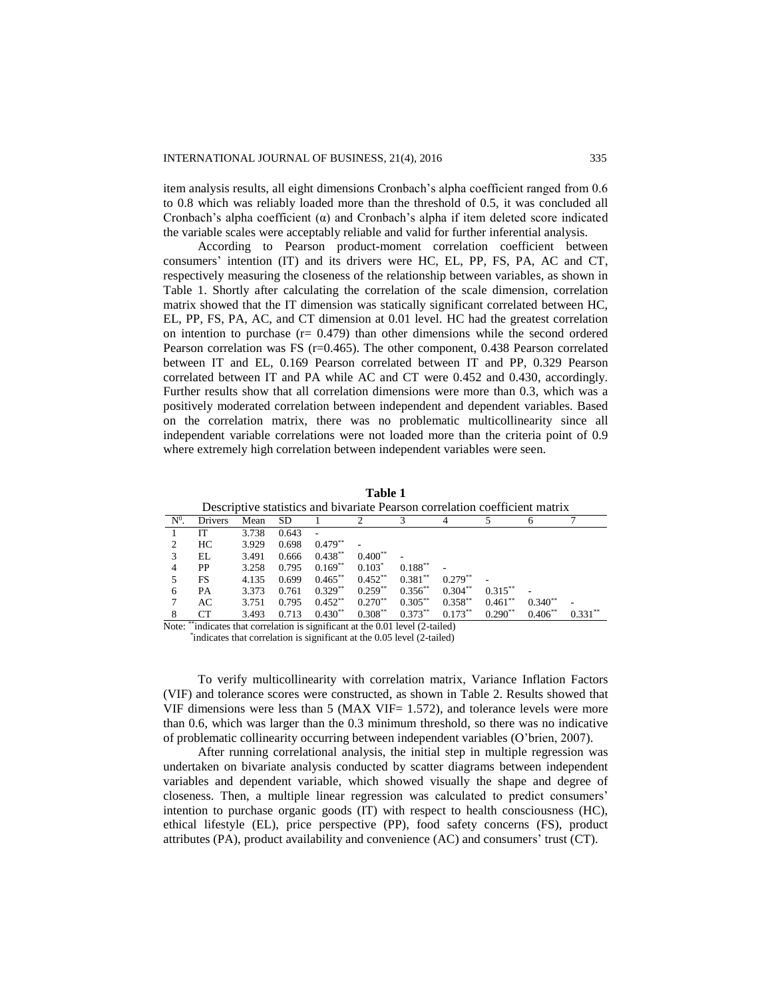item analysis results, all eight dimensions Cronbach's alpha coefficient ranged from 0.6 to 0.8 which was reliably loaded more than the threshold of 0.5, it was concluded all Cronbach's alpha coefficient  $(\alpha)$  and Cronbach's alpha if item deleted score indicated the variable scales were acceptably reliable and valid for further inferential analysis.

According to Pearson product-moment correlation coefficient between consumers' intention (IT) and its drivers were HC, EL, PP, FS, PA, AC and CT, respectively measuring the closeness of the relationship between variables, as shown in Table 1. Shortly after calculating the correlation of the scale dimension, correlation matrix showed that the IT dimension was statically significant correlated between HC, EL, PP, FS, PA, AC, and CT dimension at 0.01 level. HC had the greatest correlation on intention to purchase  $(r = 0.479)$  than other dimensions while the second ordered Pearson correlation was FS (r=0.465). The other component, 0.438 Pearson correlated between IT and EL, 0.169 Pearson correlated between IT and PP, 0.329 Pearson correlated between IT and PA while AC and CT were 0.452 and 0.430, accordingly. Further results show that all correlation dimensions were more than 0.3, which was a positively moderated correlation between independent and dependent variables. Based on the correlation matrix, there was no problematic multicollinearity since all independent variable correlations were not loaded more than the criteria point of 0.9 where extremely high correlation between independent variables were seen.

| Descriptive statistics and bivariate Pearson correlation coefficient matrix |                |       |           |            |            |            |            |            |           |           |
|-----------------------------------------------------------------------------|----------------|-------|-----------|------------|------------|------------|------------|------------|-----------|-----------|
| $N^0$ .                                                                     | Drivers        | Mean  | <b>SD</b> |            |            |            |            |            |           |           |
|                                                                             | ľТ             | 3.738 | 0.643     |            |            |            |            |            |           |           |
|                                                                             | HC.            | 3.929 | 0.698     | $0.479**$  |            |            |            |            |           |           |
| 3                                                                           | EL             | 3.491 | 0.666     | $0.438**$  | $0.400**$  |            |            |            |           |           |
|                                                                             | PP             | 3.258 | 0.795     | $0.169**$  | $0.103*$   | $0.188***$ |            |            |           |           |
|                                                                             | <b>FS</b>      | 4.135 | 0.699     | $0.465***$ | $0.452***$ | $0.381**$  | $0.279**$  |            |           |           |
| 6                                                                           | PA             | 3.373 | 0.761     | $0.329**$  | $0.259**$  | $0.356**$  | $0.304**$  | $0.315***$ |           |           |
|                                                                             | AC             | 3.751 | 0.795     | $0.452***$ | $0.270**$  | $0.305***$ | $0.358***$ | $0.461**$  | $0.340**$ |           |
| 8                                                                           | CТ<br>$\cdots$ | 3.493 | 0.713     | $0.430**$  | $0.308***$ | $0.373**$  | $0.173**$  | $0.290**$  | $0.406**$ | $0.331**$ |

**Table 1**

Note: \*\*indicates that correlation is significant at the 0.01 level (2-tailed) \* indicates that correlation is significant at the 0.05 level (2-tailed)

To verify multicollinearity with correlation matrix, Variance Inflation Factors (VIF) and tolerance scores were constructed, as shown in Table 2. Results showed that VIF dimensions were less than  $5$  (MAX VIF= 1.572), and tolerance levels were more than 0.6, which was larger than the 0.3 minimum threshold, so there was no indicative of problematic collinearity occurring between independent variables (O'brien, 2007).

After running correlational analysis, the initial step in multiple regression was undertaken on bivariate analysis conducted by scatter diagrams between independent variables and dependent variable, which showed visually the shape and degree of closeness. Then, a multiple linear regression was calculated to predict consumers' intention to purchase organic goods (IT) with respect to health consciousness (HC), ethical lifestyle (EL), price perspective (PP), food safety concerns (FS), product attributes (PA), product availability and convenience (AC) and consumers' trust (CT).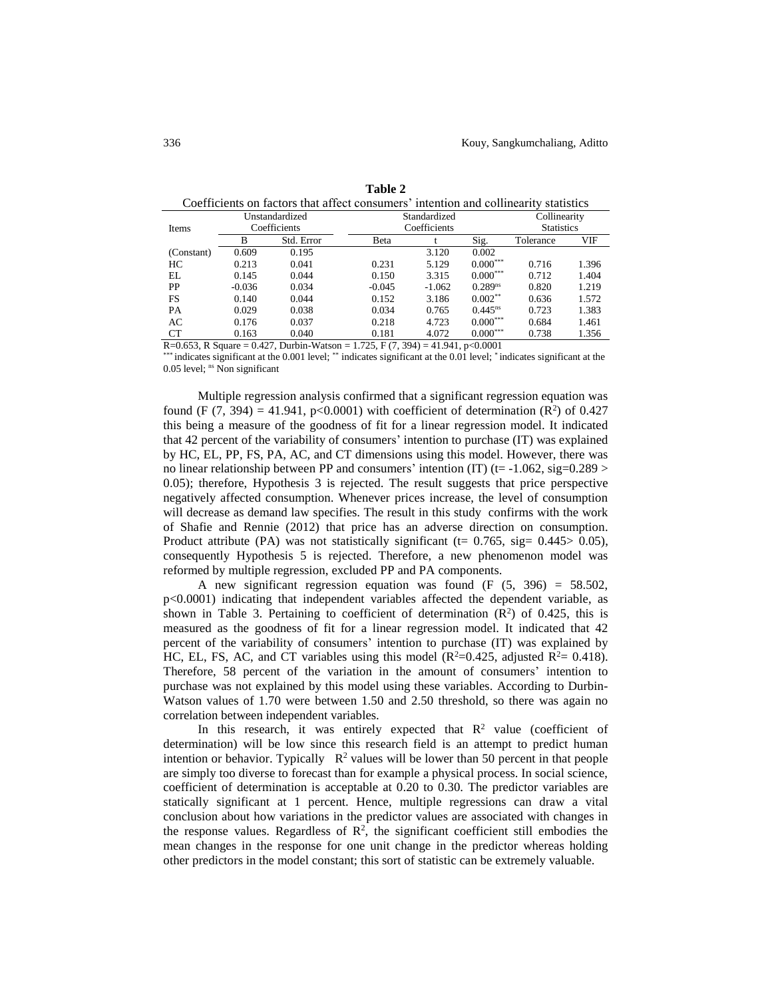|                                                | Unstandardized |                      | Standardized                                                        | Collinearity      |               |           |       |
|------------------------------------------------|----------------|----------------------|---------------------------------------------------------------------|-------------------|---------------|-----------|-------|
| Items                                          | Coefficients   |                      | Coefficients                                                        | <b>Statistics</b> |               |           |       |
|                                                | В              | Std. Error           | Beta                                                                |                   | Sig.          | Tolerance | VIF   |
| (Constant)                                     | 0.609          | 0.195                |                                                                     | 3.120             | 0.002         |           |       |
| HС                                             | 0.213          | 0.041                | 0.231                                                               | 5.129             | $0.000***$    | 0.716     | 1.396 |
| EL                                             | 0.145          | 0.044                | 0.150                                                               | 3.315             | $0.000^{***}$ | 0.712     | 1.404 |
| PP                                             | $-0.036$       | 0.034                | $-0.045$                                                            | $-1.062$          | $0.289^{ns}$  | 0.820     | 1.219 |
| FS                                             | 0.140          | 0.044                | 0.152                                                               | 3.186             | $0.002**$     | 0.636     | 1.572 |
| PA                                             | 0.029          | 0.038                | 0.034                                                               | 0.765             | $0.445^{ns}$  | 0.723     | 1.383 |
| AC                                             | 0.176          | 0.037                | 0.218                                                               | 4.723             | $0.000***$    | 0.684     | 1.461 |
| СT                                             | 0.163          | 0.040                | 0.181                                                               | 4.072             | $0.000***$    | 0.738     | 1.356 |
| $P^{\prime}$ $\alpha$ $\beta$ $\beta$ $\alpha$ |                | $0.127 \times 11.11$ | $1.725$ $\overline{1}$ $\overline{2}$ $\overline{2}$ $\overline{1}$ | 11011             | 0.001         |           |       |

**Table 2** Coefficients on factors that affect consumers' intention and collinearity statistics

R=0.653, R Square = 0.427, Durbin-Watson = 1.725, F  $(7, 394)$  = 41.941, p<0.0001

\*\*\*\* indicates significant at the 0.001 level; \*\*\* indicates significant at the 0.01 level; \* indicates significant at the 0.05 level; <sup>ns</sup> Non significant

Multiple regression analysis confirmed that a significant regression equation was found (F  $(7, 394) = 41.941$ , p<0.0001) with coefficient of determination  $(R^2)$  of 0.427 this being a measure of the goodness of fit for a linear regression model. It indicated that 42 percent of the variability of consumers' intention to purchase (IT) was explained by HC, EL, PP, FS, PA, AC, and CT dimensions using this model. However, there was no linear relationship between PP and consumers' intention (IT) ( $t = -1.062$ , sig=0.289 > 0.05); therefore, Hypothesis 3 is rejected. The result suggests that price perspective negatively affected consumption. Whenever prices increase, the level of consumption will decrease as demand law specifies. The result in this study confirms with the work of Shafie and Rennie (2012) that price has an adverse direction on consumption. Product attribute (PA) was not statistically significant ( $t= 0.765$ , sig=  $0.445 > 0.05$ ), consequently Hypothesis 5 is rejected. Therefore, a new phenomenon model was reformed by multiple regression, excluded PP and PA components.

A new significant regression equation was found  $(F (5, 396) = 58.502$ , p<0.0001) indicating that independent variables affected the dependent variable, as shown in Table 3. Pertaining to coefficient of determination  $(R^2)$  of 0.425, this is measured as the goodness of fit for a linear regression model. It indicated that 42 percent of the variability of consumers' intention to purchase (IT) was explained by HC, EL, FS, AC, and CT variables using this model ( $R^2$ =0.425, adjusted  $R^2$ = 0.418). Therefore, 58 percent of the variation in the amount of consumers' intention to purchase was not explained by this model using these variables. According to Durbin-Watson values of 1.70 were between 1.50 and 2.50 threshold, so there was again no correlation between independent variables.

In this research, it was entirely expected that  $\mathbb{R}^2$  value (coefficient of determination) will be low since this research field is an attempt to predict human intention or behavior. Typically  $\mathbb{R}^2$  values will be lower than 50 percent in that people are simply too diverse to forecast than for example a physical process. In social science, coefficient of determination is acceptable at 0.20 to 0.30. The predictor variables are statically significant at 1 percent. Hence, multiple regressions can draw a vital conclusion about how variations in the predictor values are associated with changes in the response values. Regardless of  $\mathbb{R}^2$ , the significant coefficient still embodies the mean changes in the response for one unit change in the predictor whereas holding other predictors in the model constant; this sort of statistic can be extremely valuable.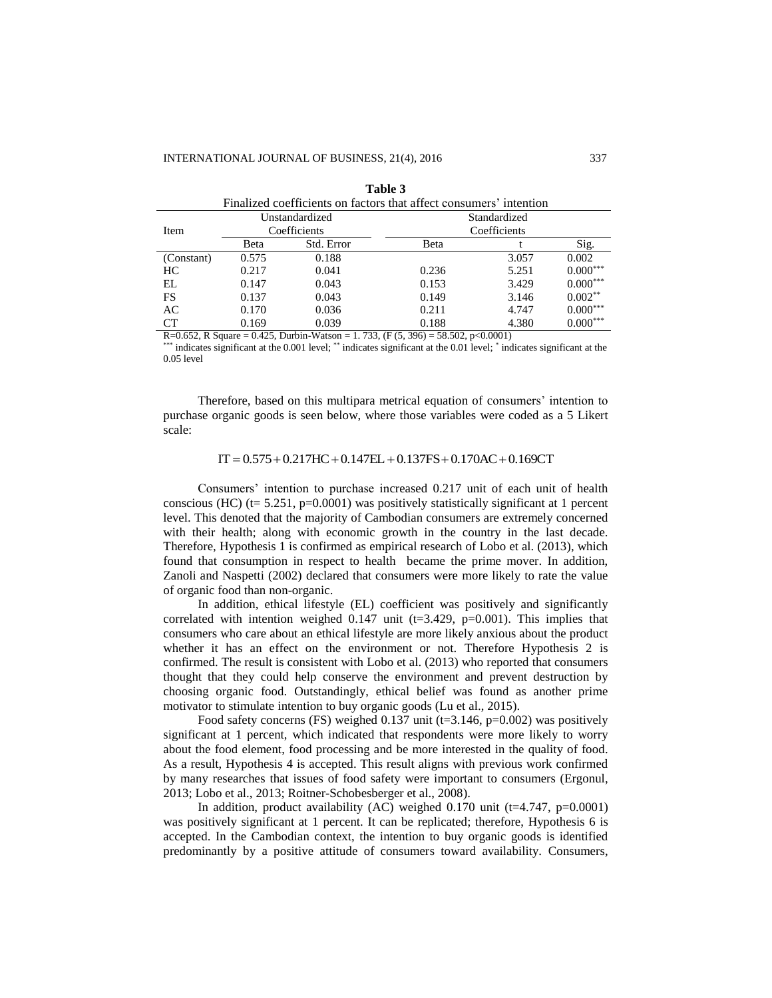| Finalized coefficients on factors that affect consumers' intention |       |                |              |       |            |  |  |
|--------------------------------------------------------------------|-------|----------------|--------------|-------|------------|--|--|
|                                                                    |       | Unstandardized | Standardized |       |            |  |  |
| Item                                                               |       | Coefficients   | Coefficients |       |            |  |  |
|                                                                    | Beta  | Std. Error     | Beta         |       | Sig.       |  |  |
| (Constant)                                                         | 0.575 | 0.188          |              | 3.057 | 0.002      |  |  |
| HC                                                                 | 0.217 | 0.041          | 0.236        | 5.251 | $0.000***$ |  |  |
| EL                                                                 | 0.147 | 0.043          | 0.153        | 3.429 | $0.000***$ |  |  |
| FS                                                                 | 0.137 | 0.043          | 0.149        | 3.146 | $0.002***$ |  |  |
| AC                                                                 | 0.170 | 0.036          | 0.211        | 4.747 | $0.000***$ |  |  |
| CT.                                                                | 0.169 | 0.039          | 0.188        | 4.380 | $0.000***$ |  |  |

| anı |  |
|-----|--|
|-----|--|

R=0.652, R Square = 0.425, Durbin-Watson = 1.733, (F  $(5, 396)$  = 58.502, p<0.0001)

\*\*\*\* indicates significant at the 0.001 level; \*\*\* indicates significant at the 0.01 level; \* indicates significant at the 0.05 level

Therefore, based on this multipara metrical equation of consumers' intention to purchase organic goods is seen below, where those variables were coded as a 5 Likert scale:

#### $IT = 0.575 + 0.217HC + 0.147EL + 0.137FS + 0.170AC + 0.169CT$

Consumers' intention to purchase increased 0.217 unit of each unit of health conscious (HC) (t= 5.251, p=0.0001) was positively statistically significant at 1 percent level. This denoted that the majority of Cambodian consumers are extremely concerned with their health; along with economic growth in the country in the last decade. Therefore, Hypothesis 1 is confirmed as empirical research of Lobo et al. (2013), which found that consumption in respect to health became the prime mover. In addition, Zanoli and Naspetti (2002) declared that consumers were more likely to rate the value of organic food than non-organic.

In addition, ethical lifestyle (EL) coefficient was positively and significantly correlated with intention weighed 0.147 unit  $(t=3.429, p=0.001)$ . This implies that consumers who care about an ethical lifestyle are more likely anxious about the product whether it has an effect on the environment or not. Therefore Hypothesis 2 is confirmed. The result is consistent with Lobo et al. (2013) who reported that consumers thought that they could help conserve the environment and prevent destruction by choosing organic food. Outstandingly, ethical belief was found as another prime motivator to stimulate intention to buy organic goods (Lu et al., 2015).

Food safety concerns (FS) weighed 0.137 unit (t=3.146, p=0.002) was positively significant at 1 percent, which indicated that respondents were more likely to worry about the food element, food processing and be more interested in the quality of food. As a result, Hypothesis 4 is accepted. This result aligns with previous work confirmed by many researches that issues of food safety were important to consumers (Ergonul, 2013; Lobo et al., 2013; Roitner-Schobesberger et al., 2008).

In addition, product availability (AC) weighed 0.170 unit ( $t=4.747$ ,  $p=0.0001$ ) was positively significant at 1 percent. It can be replicated; therefore, Hypothesis 6 is accepted. In the Cambodian context, the intention to buy organic goods is identified predominantly by a positive attitude of consumers toward availability. Consumers,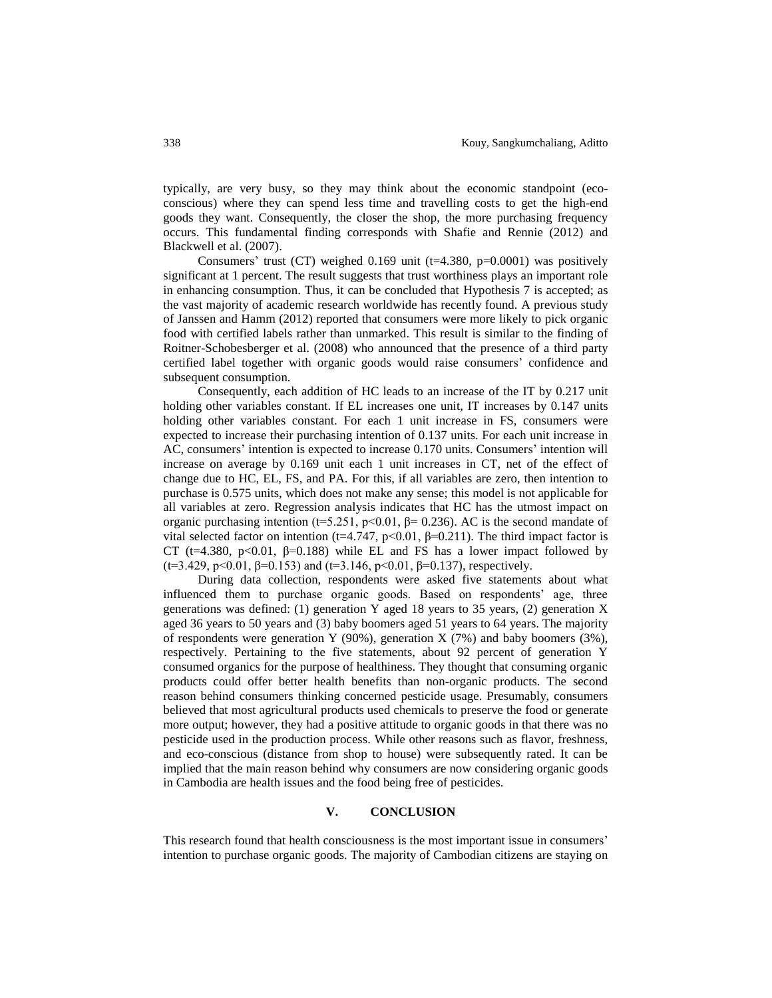typically, are very busy, so they may think about the economic standpoint (ecoconscious) where they can spend less time and travelling costs to get the high-end goods they want. Consequently, the closer the shop, the more purchasing frequency occurs. This fundamental finding corresponds with Shafie and Rennie (2012) and Blackwell et al. (2007).

Consumers' trust (CT) weighed  $0.169$  unit (t=4.380, p=0.0001) was positively significant at 1 percent. The result suggests that trust worthiness plays an important role in enhancing consumption. Thus, it can be concluded that Hypothesis 7 is accepted; as the vast majority of academic research worldwide has recently found. A previous study of Janssen and Hamm (2012) reported that consumers were more likely to pick organic food with certified labels rather than unmarked. This result is similar to the finding of Roitner-Schobesberger et al. (2008) who announced that the presence of a third party certified label together with organic goods would raise consumers' confidence and subsequent consumption.

Consequently, each addition of HC leads to an increase of the IT by 0.217 unit holding other variables constant. If EL increases one unit, IT increases by 0.147 units holding other variables constant. For each 1 unit increase in FS, consumers were expected to increase their purchasing intention of 0.137 units. For each unit increase in AC, consumers' intention is expected to increase 0.170 units. Consumers' intention will increase on average by 0.169 unit each 1 unit increases in CT, net of the effect of change due to HC, EL, FS, and PA. For this, if all variables are zero, then intention to purchase is 0.575 units, which does not make any sense; this model is not applicable for all variables at zero. Regression analysis indicates that HC has the utmost impact on organic purchasing intention (t=5.251, p<0.01,  $\beta$ = 0.236). AC is the second mandate of vital selected factor on intention (t=4.747, p<0.01, β=0.211). The third impact factor is CT (t=4.380, p<0.01,  $\beta$ =0.188) while EL and FS has a lower impact followed by (t=3.429, p<0.01,  $\beta$ =0.153) and (t=3.146, p<0.01,  $\beta$ =0.137), respectively.

During data collection, respondents were asked five statements about what influenced them to purchase organic goods. Based on respondents' age, three generations was defined: (1) generation Y aged 18 years to 35 years, (2) generation X aged 36 years to 50 years and (3) baby boomers aged 51 years to 64 years. The majority of respondents were generation Y (90%), generation X (7%) and baby boomers (3%), respectively. Pertaining to the five statements, about 92 percent of generation Y consumed organics for the purpose of healthiness. They thought that consuming organic products could offer better health benefits than non-organic products. The second reason behind consumers thinking concerned pesticide usage. Presumably, consumers believed that most agricultural products used chemicals to preserve the food or generate more output; however, they had a positive attitude to organic goods in that there was no pesticide used in the production process. While other reasons such as flavor, freshness, and eco-conscious (distance from shop to house) were subsequently rated. It can be implied that the main reason behind why consumers are now considering organic goods in Cambodia are health issues and the food being free of pesticides.

# **V. CONCLUSION**

This research found that health consciousness is the most important issue in consumers' intention to purchase organic goods. The majority of Cambodian citizens are staying on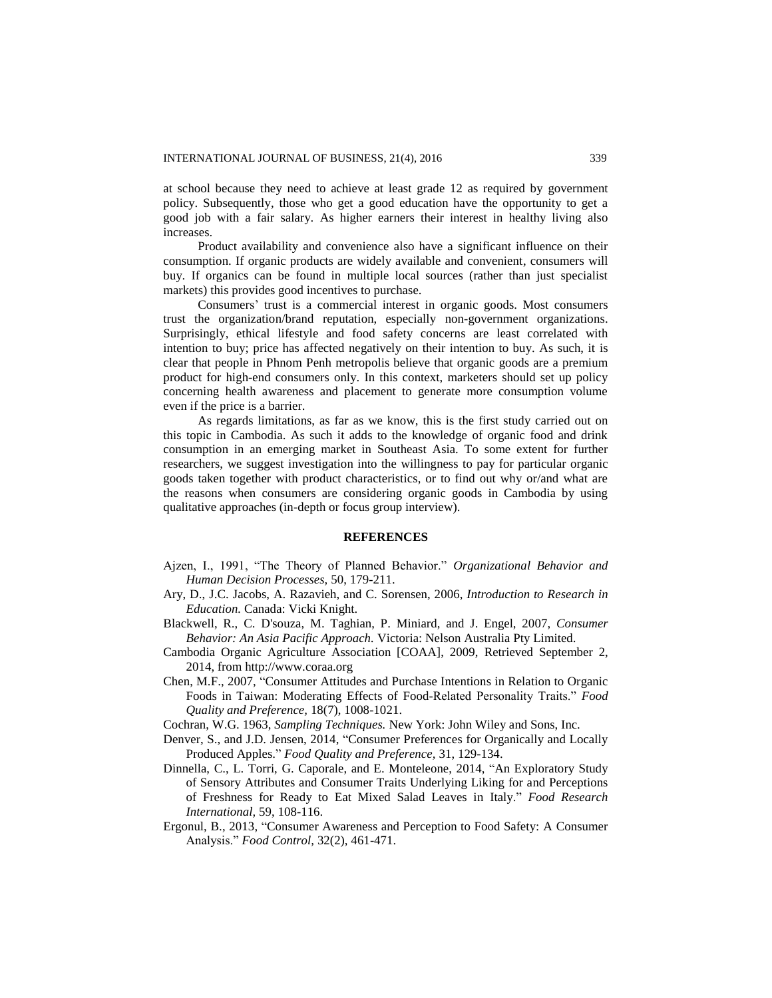at school because they need to achieve at least grade 12 as required by government policy. Subsequently, those who get a good education have the opportunity to get a good job with a fair salary. As higher earners their interest in healthy living also increases.

Product availability and convenience also have a significant influence on their consumption. If organic products are widely available and convenient, consumers will buy. If organics can be found in multiple local sources (rather than just specialist markets) this provides good incentives to purchase.

Consumers' trust is a commercial interest in organic goods. Most consumers trust the organization/brand reputation, especially non-government organizations. Surprisingly, ethical lifestyle and food safety concerns are least correlated with intention to buy; price has affected negatively on their intention to buy. As such, it is clear that people in Phnom Penh metropolis believe that organic goods are a premium product for high-end consumers only. In this context, marketers should set up policy concerning health awareness and placement to generate more consumption volume even if the price is a barrier.

As regards limitations, as far as we know, this is the first study carried out on this topic in Cambodia. As such it adds to the knowledge of organic food and drink consumption in an emerging market in Southeast Asia. To some extent for further researchers, we suggest investigation into the willingness to pay for particular organic goods taken together with product characteristics, or to find out why or/and what are the reasons when consumers are considering organic goods in Cambodia by using qualitative approaches (in-depth or focus group interview).

#### **REFERENCES**

- Ajzen, I., 1991, "The Theory of Planned Behavior." *Organizational Behavior and Human Decision Processes,* 50, 179-211.
- Ary, D., J.C. Jacobs, A. Razavieh, and C. Sorensen, 2006, *Introduction to Research in Education.* Canada: Vicki Knight.
- Blackwell, R., C. D'souza, M. Taghian, P. Miniard, and J. Engel, 2007, *Consumer Behavior: An Asia Pacific Approach.* Victoria: Nelson Australia Pty Limited.
- Cambodia Organic Agriculture Association [COAA], 2009, Retrieved September 2, 2014, from http://www.coraa.org
- Chen, M.F., 2007, "Consumer Attitudes and Purchase Intentions in Relation to Organic Foods in Taiwan: Moderating Effects of Food-Related Personality Traits." *Food Quality and Preference,* 18(7), 1008-1021.
- Cochran, W.G. 1963, *Sampling Techniques.* New York: John Wiley and Sons, Inc.
- Denver, S., and J.D. Jensen, 2014, "Consumer Preferences for Organically and Locally Produced Apples." *Food Quality and Preference,* 31, 129-134.
- Dinnella, C., L. Torri, G. Caporale, and E. Monteleone, 2014, "An Exploratory Study of Sensory Attributes and Consumer Traits Underlying Liking for and Perceptions of Freshness for Ready to Eat Mixed Salad Leaves in Italy." *Food Research International,* 59, 108-116.
- Ergonul, B., 2013, "Consumer Awareness and Perception to Food Safety: A Consumer Analysis." *Food Control,* 32(2), 461-471.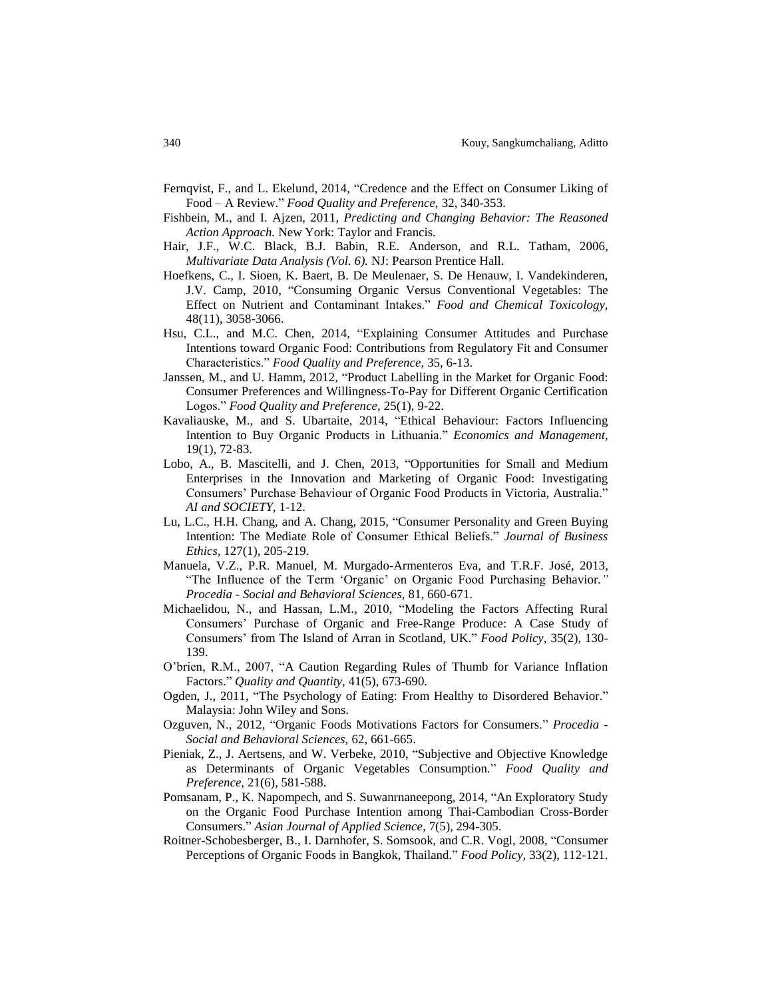- Fernqvist, F., and L. Ekelund, 2014, "Credence and the Effect on Consumer Liking of Food – A Review." *Food Quality and Preference,* 32, 340-353.
- Fishbein, M., and I. Ajzen, 2011, *Predicting and Changing Behavior: The Reasoned Action Approach.* New York: Taylor and Francis.
- Hair, J.F., W.C. Black, B.J. Babin, R.E. Anderson, and R.L. Tatham, 2006, *Multivariate Data Analysis (Vol. 6).* NJ: Pearson Prentice Hall.
- Hoefkens, C., I. Sioen, K. Baert, B. De Meulenaer, S. De Henauw, I. Vandekinderen, J.V. Camp, 2010, "Consuming Organic Versus Conventional Vegetables: The Effect on Nutrient and Contaminant Intakes." *Food and Chemical Toxicology,* 48(11), 3058-3066.
- Hsu, C.L., and M.C. Chen, 2014, "Explaining Consumer Attitudes and Purchase Intentions toward Organic Food: Contributions from Regulatory Fit and Consumer Characteristics." *Food Quality and Preference,* 35, 6-13.
- Janssen, M., and U. Hamm, 2012, "Product Labelling in the Market for Organic Food: Consumer Preferences and Willingness-To-Pay for Different Organic Certification Logos." *Food Quality and Preference,* 25(1), 9-22.
- Kavaliauske, M., and S. Ubartaite, 2014, "Ethical Behaviour: Factors Influencing Intention to Buy Organic Products in Lithuania." *Economics and Management,* 19(1), 72-83.
- Lobo, A., B. Mascitelli, and J. Chen, 2013, "Opportunities for Small and Medium Enterprises in the Innovation and Marketing of Organic Food: Investigating Consumers' Purchase Behaviour of Organic Food Products in Victoria, Australia." *AI and SOCIETY,* 1-12.
- Lu, L.C., H.H. Chang, and A. Chang, 2015, "Consumer Personality and Green Buying Intention: The Mediate Role of Consumer Ethical Beliefs." *Journal of Business Ethics,* 127(1), 205-219.
- Manuela, V.Z., P.R. Manuel, M. Murgado-Armenteros Eva, and T.R.F. José, 2013, "The Influence of the Term 'Organic' on Organic Food Purchasing Behavior*." Procedia - Social and Behavioral Sciences,* 81, 660-671.
- Michaelidou, N., and Hassan, L.M., 2010, "Modeling the Factors Affecting Rural Consumers' Purchase of Organic and Free-Range Produce: A Case Study of Consumers' from The Island of Arran in Scotland, UK." *Food Policy,* 35(2), 130- 139.
- O'brien, R.M., 2007, "A Caution Regarding Rules of Thumb for Variance Inflation Factors." *Quality and Quantity,* 41(5), 673-690.
- Ogden, J., 2011, "The Psychology of Eating: From Healthy to Disordered Behavior." Malaysia: John Wiley and Sons.
- Ozguven, N., 2012, "Organic Foods Motivations Factors for Consumers." *Procedia - Social and Behavioral Sciences,* 62, 661-665.
- Pieniak, Z., J. Aertsens, and W. Verbeke, 2010, "Subjective and Objective Knowledge as Determinants of Organic Vegetables Consumption." *Food Quality and Preference,* 21(6), 581-588.
- Pomsanam, P., K. Napompech, and S. Suwanrnaneepong, 2014, "An Exploratory Study on the Organic Food Purchase Intention among Thai-Cambodian Cross-Border Consumers." *Asian Journal of Applied Science*, 7(5), 294-305.
- Roitner-Schobesberger, B., I. Darnhofer, S. Somsook, and C.R. Vogl, 2008, "Consumer Perceptions of Organic Foods in Bangkok, Thailand." *Food Policy,* 33(2), 112-121.